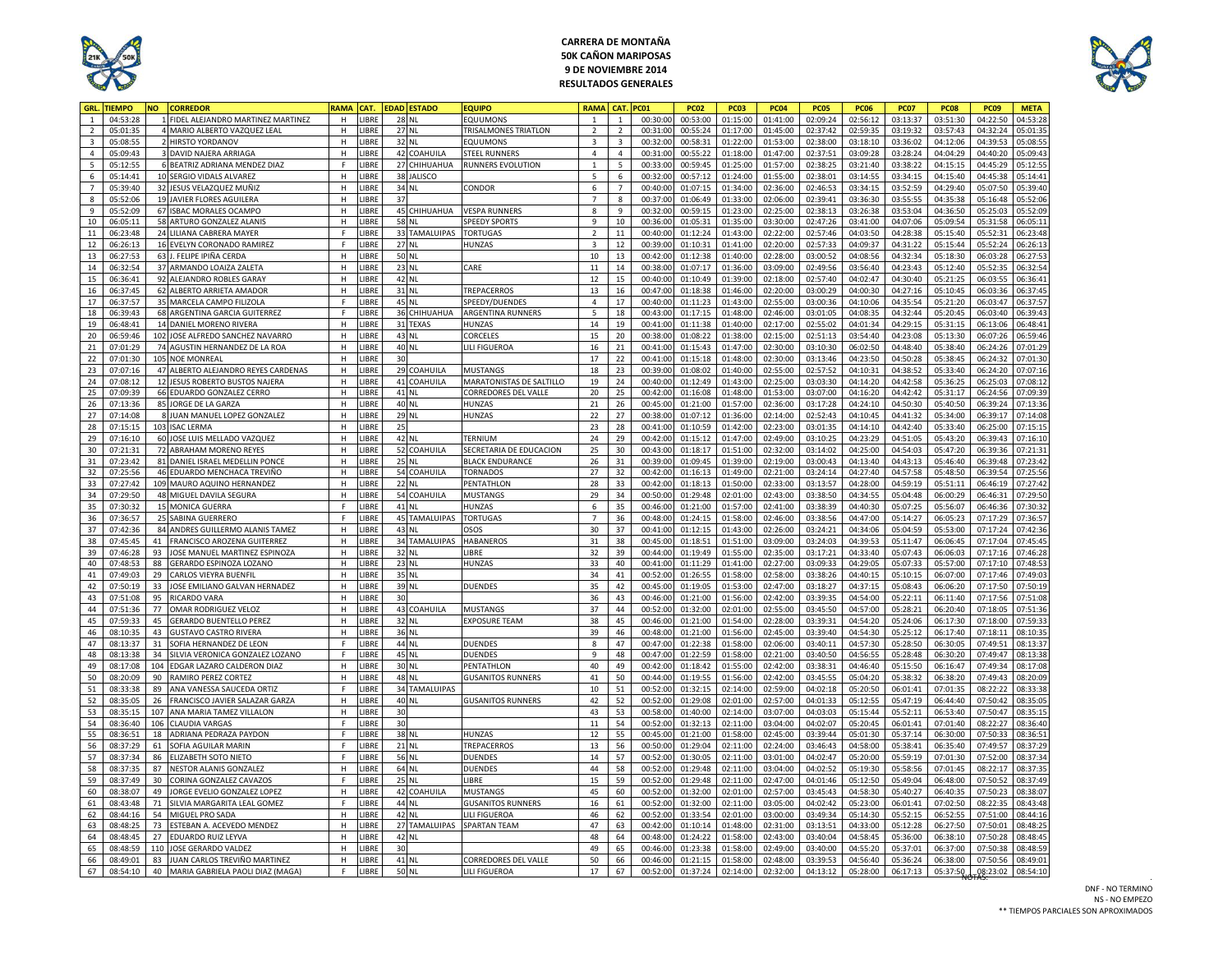

## **CARRERA DE MONTAÑA 50K CAÑON MARIPOSAS 9 DE NOVIEMBRE 2014 RESULTADOS GENERALES**



| GRL.                    | <b>TIEMPO</b> | NΟ  | <b>CORREDOR</b>                     | RAMA         | CAT.        | <b>DAD ESTADO</b> | <b>EQUIPO</b>            | RAMA                    | CAT             | <b>PC01</b> | <b>PC02</b> | <b>PC03</b> | <b>PC04</b> | <b>PC05</b> | <b>PC06</b> | <b>PC07</b> | <b>PC08</b> | <b>PC09</b> | <b>META</b> |
|-------------------------|---------------|-----|-------------------------------------|--------------|-------------|-------------------|--------------------------|-------------------------|-----------------|-------------|-------------|-------------|-------------|-------------|-------------|-------------|-------------|-------------|-------------|
| $\overline{1}$          | 04:53:28      |     | FIDEL ALEJANDRO MARTINEZ MARTINEZ   | H            | <b>IBRE</b> | 28 NL             | <b>FOUUMONS</b>          | $\mathbf{1}$            | $\overline{1}$  | 00:30:00    | 00:53:00    | 01:15:00    | 01:41:00    | 02:09:24    | 02:56:12    | 03:13:37    | 03:51:30    | 04:22:50    | 04:53:2     |
| $\overline{2}$          | 05:01:35      |     | 4 MARIO ALBERTO VAZQUEZ LEAL        | H            | LIBRE       | 27 NL             | TRISALMONES TRIATLON     | $\overline{2}$          | $\overline{2}$  | 00:31:00    | 00:55:24    | 01:17:00    | 01:45:00    | 02:37:42    | 02:59:35    | 03:19:32    | 03:57:43    | 04:32:24    | 05:01:35    |
| $\overline{\mathbf{3}}$ | 05:08:55      |     | 2 HIRSTO YORDANOV                   | H            | <b>IBRE</b> | 32 NL             | <b>FOUUMONS</b>          | $\overline{3}$          | $\overline{3}$  | 00:32:0     | 00:58:31    | 01:22:00    | 01:53:00    | 02:38:00    | 03:18:10    | 03:36:02    | 04:12:06    | 04:39:53    | 05:08:5     |
| $\pmb{4}$               | 05:09:43      |     | 3 DAVID NAJERA ARRIAGA              | H            | <b>IBRE</b> | 42 COAHUILA       | STEEL RUNNERS            | $\overline{4}$          | $\overline{4}$  | 00:31:0     | 00:55:22    | 01:18:00    | 01:47:00    | 02:37:51    | 03:09:28    | 03:28:24    | 04:04:29    | 04:40:20    | 05:09:4     |
| $5\phantom{.0}$         | 05:12:55      |     | 6 BEATRIZ ADRIANA MENDEZ DIAZ       | $\mathsf{F}$ | LIBRE       | 27 CHIHUAHUA      | RUNNERS EVOLUTION        | $\,$ 1 $\,$             | $\overline{5}$  | 00:33:00    | 00:59:45    | 01:25:00    | 01:57:00    | 02:38:25    | 03:21:40    | 03:38:22    | 04:15:15    | 04:45:29    | 05:12:55    |
| $6\phantom{a}$          | 05:14:41      |     | 10 SERGIO VIDALS ALVAREZ            | $\mathsf H$  | <b>IBRE</b> | 38 JALISCO        |                          | $5\overline{5}$         | 6               | 00:32:00    | 00:57:12    | 01:24:00    | 01:55:00    | 02:38:01    | 03:14:55    | 03:34:15    | 04:15:40    | 04:45:38    | 05:14:41    |
| $\overline{7}$          | 05:39:40      |     | 32 JESUS VELAZQUEZ MUÑIZ            | $\mathsf H$  | <b>IRRF</b> | 34 NL             | CONDOR                   | 6                       | $7\overline{ }$ | 00:40:00    | 01:07:15    | 01:34:00    | 02:36:00    | 02:46:53    | 03:34:15    | 03:52:59    | 04:29:40    | 05:07:50    | 05:39:40    |
| $\boldsymbol{8}$        | 05:52:06      |     | 19 JAVIER FLORES AGUILERA           | H            | <b>IBRE</b> | 37                |                          | $7\overline{ }$         | 8               | 00:37:00    | 01:06:49    | 01:33:00    | 02:06:00    | 02:39:41    | 03:36:30    | 03:55:55    | 04:35:38    | 05:16:48    | 05:52:06    |
| 9                       | 05:52:09      |     | 67 ISBAC MORALES OCAMPC             | H            | <b>IBRE</b> | 45 CHIHUAHUA      | <b>VESPA RUNNERS</b>     | 8                       | $\mathbf{q}$    | 00:32:0     | 00:59:15    | 01:23:00    | 02:25:00    | 02:38:13    | 03:26:38    | 03:53:04    | 04:36:50    | 05:25:03    | 05:52:0     |
| 10                      | 06:05:11      |     | 58 ARTURO GONZALEZ ALANIS           | H            | <b>IBRE</b> | 58 NL             | <b>SPEEDY SPORTS</b>     | 9                       | 10              | 00:36:0     | 01:05:31    | 01:35:00    | 03:30:00    | 02:47:26    | 03:41:00    | 04:07:06    | 05:09:54    | 05:31:58    | 06:05:1     |
| 11                      | 06:23:48      |     | 24 LILIANA CABRERA MAYER            | E            | LIBRE       | 33 TAMALUIPAS     | <b>TORTUGAS</b>          | $\overline{2}$          | 11              | 00:40:00    | 01:12:24    | 01:43:00    | 02:22:00    | 02:57:46    | 04:03:50    | 04:28:38    | 05:15:40    | 05:52:31    | 06:23:4     |
|                         |               |     |                                     | E            |             |                   |                          |                         |                 |             |             |             |             |             |             |             |             |             |             |
| 12                      | 06:26:13      |     | 16 EVELYN CORONADO RAMIREZ          |              | <b>IBRE</b> | 27 NL             | HUNZAS                   | $\overline{\mathbf{3}}$ | 12              | 00:39:00    | 01:10:31    | 01:41:00    | 02:20:00    | 02:57:33    | 04:09:37    | 04:31:22    | 05:15:44    | 05:52:24    | 06:26:1     |
| 13                      | 06:27:53      |     | 63 J. FELIPE IPIÑA CERDA            | $\mathbf{H}$ | <b>IBRE</b> | 50 NL             |                          | 10                      | 13              | 00:42:00    | 01:12:38    | 01:40:00    | 02:28:00    | 03:00:52    | 04:08:56    | 04:32:34    | 05:18:30    | 06:03:28    | 06:27:5     |
| 14                      | 06:32:54      |     | 37 ARMANDO LOAIZA ZALETA            | H            | <b>IBRE</b> | 23 NL             | <b>CARF</b>              | 11                      | 14              | 00:38:00    | 01:07:17    | 01:36:00    | 03:09:00    | 02:49:56    | 03:56:40    | 04:23:43    | 05:12:40    | 05:52:35    | 06:32:5     |
| 15                      | 06:36:41      |     | 92 ALEJANDRO ROBLES GARAY           | H            | <b>IBRE</b> | 42 NL             |                          | 12                      | 15              | 00:40:0     | 01:10:49    | 01:39:00    | 02:18:00    | 02:57:40    | 04:02:47    | 04:30:40    | 05:21:25    | 06:03:55    | 06:36:4     |
| 16                      | 06:37:45      |     | 62 ALBERTO ARRIETA AMADOR           | H            | LIBRE       | 31 NL             | TREPACERROS              | 13                      | 16              | 00:47:00    | 01:18:38    | 01:46:00    | 02:20:00    | 03:00:29    | 04:00:30    | 04:27:16    | 05:10:45    | 06:03:36    | 06:37:4     |
| 17                      | 06:37:57      |     | 35 MARCELA CAMPO FILIZOLA           | F            | LIBRE       | 45 NL             | SPEEDY/DUENDES           | $\overline{4}$          | 17              | 00:40:00    | 01:11:23    | 01:43:00    | 02:55:00    | 03:00:36    | 04:10:06    | 04:35:54    | 05:21:20    | 06:03:47    | 06:37:5     |
| $18\,$                  | 06:39:43      |     | 68 ARGENTINA GARCIA GUITERREZ       | E            | <b>IRRF</b> | 36 CHIHUAHUA      | ARGENTINA RUNNERS        | 5                       | 18              | 00:43:00    | 01:17:15    | 01:48:00    | 02:46:00    | 03:01:05    | 04:08:35    | 04:32:44    | 05:20:45    | 06:03:40    | 06:39:43    |
| 19                      | 06:48:41      |     | 14 DANIEL MORENO RIVERA             | H            | LIBRE       | 31 TEXAS          | <b>HUNZAS</b>            | $14\,$                  | 19              | 00:41:00    | 01:11:38    | 01:40:00    | 02:17:00    | 02:55:02    | 04:01:34    | 04:29:15    | 05:31:15    | 06:13:06    | 06:48:41    |
| 20                      | 06:59:46      |     | 102 JOSE ALFREDO SANCHEZ NAVARRO    | H            | <b>IBRE</b> | 43 NL             | <b>CORCELES</b>          | 15                      | 20              | 00:38:0     | 01:08:22    | 01:38:00    | 02:15:00    | 02:51:13    | 03:54:40    | 04:23:08    | 05:13:30    | 06:07:26    | 06:59:4     |
| 21                      | 07:01:29      |     | 74 AGUSTIN HERNANDEZ DE LA ROA      | H            | <b>IBRE</b> | 40 NL             | LILI FIGUEROA            | 16                      | 21              | 00:41:0     | 01:15:43    | 01:47:00    | 02:30:00    | 03:10:30    | 06:02:50    | 04:48:40    | 05:38:40    | 06:24:26    | 07:01:2     |
| 22                      | 07:01:30      |     | 105 NOE MONREAL                     | H            | LIBRE       | 30                |                          | 17                      | 22              | 00:41:00    | 01:15:18    | 01:48:00    | 02:30:00    | 03:13:46    | 04:23:50    | 04:50:28    | 05:38:45    | 06:24:32    | 07:01:3     |
| 23                      | 07:07:16      |     | 47 ALBERTO ALEJANDRO REYES CARDENAS | H            | <b>IBRE</b> | 29 COAHUILA       | <b>MUSTANGS</b>          | 18                      | 23              | 00:39:0     | 01:08:02    | 01:40:00    | 02:55:00    | 02:57:52    | 04:10:31    | 04:38:52    | 05:33:40    | 06:24:20    | 07:07:1     |
| $24\,$                  | 07:08:12      |     | 12 JESUS ROBERTO BUSTOS NAJERA      | $\,$ H       | <b>IBRE</b> | 41 COAHUILA       | MARATONISTAS DE SALTILLO | 19                      | 24              | 00:40:00    | 01:12:49    | 01:43:00    | 02:25:00    | 03:03:30    | 04:14:20    | 04:42:58    | 05:36:25    | 06:25:03    | 07:08:12    |
| 25                      | 07:09:39      |     | 66 EDUARDO GONZALEZ CERRO           | H            | <b>IBRE</b> | 41 NL             | CORREDORES DEL VALLE     | 20                      | 25              | 00:42:00    | 01:16:08    | 01:48:00    | 01:53:00    | 03:07:00    | 04:16:20    | 04:42:42    | 05:31:17    | 06:24:56    | 07:09:3     |
| 26                      | 07:13:36      |     | 85 JORGE DE LA GARZA                | H            | <b>IBRE</b> | 40 NL             | HUNZAS                   | 21                      | 26              | 00:45:0     | 01:21:00    | 01:57:00    | 02:36:00    | 03:17:28    | 04:24:10    | 04:50:30    | 05:40:50    | 06:39:24    | 07:13:3     |
| 27                      | 07:14:08      |     | 8 JUAN MANUEL LOPEZ GONZALEZ        | H            | LIBRE       | 29 NL             | HUNZAS                   | 22                      | 27              | 00:38:00    | 01:07:12    | 01:36:00    | 02:14:00    | 02:52:43    | 04:10:45    | 04:41:32    | 05:34:00    | 06:39:17    | 07:14:0     |
| 28                      | 07:15:15      |     | 103 ISAC LERMA                      | $\mathsf H$  | LIBRE       | 25                |                          | 23                      | 28              | 00:41:00    | 01:10:59    | 01:42:00    | 02:23:00    | 03:01:35    | 04:14:10    | 04:42:40    | 05:33:40    | 06:25:00    | 07:15:15    |
| 29                      | 07:16:10      |     | 60 JOSE LUIS MELLADO VAZQUEZ        | $\mathsf H$  | <b>IBRE</b> | 42 NL             | TERNIUM                  | 24                      | 29              | 00:42:00    | 01:15:12    | 01:47:00    | 02:49:00    | 03:10:25    | 04:23:29    | 04:51:05    | 05:43:20    | 06:39:43    | 07:16:10    |
| 30                      | 07:21:31      |     | 72 ABRAHAM MORENO REYES             | H            | <b>IBRE</b> | 52 COAHUILA       | SECRETARIA DE EDUCACION  | 25                      | 30 <sup>°</sup> | 00:43:00    | 01:18:17    | 01:51:00    | 02:32:00    | 03:14:02    | 04:25:00    | 04:54:03    | 05:47:20    | 06:39:36    | 07:21:31    |
| 31                      | 07:23:42      |     | 81 DANIEL ISRAEL MEDELLIN PONCE     | H            | <b>IBRE</b> | 25 NL             | <b>BLACK ENDURANCE</b>   | 26                      | 31              | 00:39:0     | 01:09:45    | 01:39:00    | 02:19:00    | 03:00:43    | 04:13:40    | 04:43:13    | 05:46:40    | 06:39:48    | 07:23:4     |
| 32                      | 07:25:56      |     | 46 EDUARDO MENCHACA TREVIÑO         | H            | <b>IBRE</b> | COAHUILA<br>54    | <b>TORNADOS</b>          | 27                      | 32              | 00:42:0     | 01:16:13    | 01:49:00    | 02:21:00    | 03:24:14    | 04:27:40    | 04:57:58    | 05:48:50    | 06:39:54    | 07:25:5     |
| 33                      | 07:27:42      |     | 109 MAURO AQUINO HERNANDEZ          | H            | <b>IBRE</b> | 22 NL             | PENTATHLON               | 28                      | 33              | 00:42:00    | 01:18:13    | 01:50:00    | 02:33:00    | 03:13:57    | 04:28:00    | 04:59:19    | 05:51:11    | 06:46:19    | 07:27:4     |
| 34                      | 07:29:50      |     | 48 MIGUEL DAVILA SEGURA             | H            | <b>IBRE</b> | 54<br>COAHUILA    | <b>MUSTANGS</b>          | 29                      | 34              | 00:50:00    | 01:29:48    | 02:01:00    | 02:43:00    | 03:38:50    | 04:34:55    | 05:04:48    | 06:00:29    | 06:46:31    | 07:29:5     |
|                         | 07:30:32      |     |                                     |              | <b>IBRE</b> |                   |                          |                         |                 |             |             |             |             |             |             |             |             |             |             |
| 35                      |               |     | <b>15 MONICA GUERRA</b>             | $\mathsf F$  |             | 41 NL             | HUNZAS                   | 6<br>$\overline{7}$     | 35              | 00:46:00    | 01:21:00    | 01:57:00    | 02:41:00    | 03:38:39    | 04:40:30    | 05:07:25    | 05:56:07    | 06:46:36    | 07:30:3     |
| 36                      | 07:36:57      |     | 25 SABINA GUERRERO                  | $\mathsf F$  | <b>IBRE</b> | 45 TAMALUIPAS     | <b>TORTUGAS</b>          |                         | 36              | 00:48:00    | 01:24:15    | 01:58:00    | 02:46:00    | 03:38:56    | 04:47:00    | 05:14:27    | 06:05:23    | 07:17:29    | 07:36:5     |
| 37                      | 07:42:36      |     | 84 ANDRES GUILLERMO ALANIS TAMEZ    | H            | <b>IBRE</b> | 43 NL             | OSOS                     | 30                      | 37              | 00:41:00    | 01:12:15    | 01:43:00    | 02:26:00    | 03:24:21    | 04:34:06    | 05:04:59    | 05:53:00    | 07:17:24    | 07:42:3     |
| 38                      | 07:45:45      | 41  | FRANCISCO AROZENA GUITERREZ         | H            | LIBRE       | 34 TAMALUIPAS     | HABANEROS                | 31                      | 38              | 00:45:00    | 01:18:51    | 01:51:00    | 03:09:00    | 03:24:03    | 04:39:53    | 05:11:47    | 06:06:45    | 07:17:04    | 07:45:4     |
| 39                      | 07:46:28      | 93  | JOSE MANUEL MARTINEZ ESPINOZA       | H            | <b>IBRE</b> | 32 NL             | LIBRE                    | 32                      | 39              | 00:44:00    | 01:19:49    | 01:55:00    | 02:35:00    | 03:17:21    | 04:33:40    | 05:07:43    | 06:06:03    | 07:17:16    | 07:46:28    |
| 40                      | 07:48:53      | 88  | GERARDO ESPINOZA LOZANO             | $\mathsf H$  | <b>IBRE</b> | 23 NL             | HUNZAS                   | 33                      | 40              | 00:41:00    | 01:11:29    | 01:41:00    | 02:27:00    | 03:09:33    | 04:29:05    | 05:07:33    | 05:57:00    | 07:17:10    | 07:48:53    |
| 41                      | 07:49:03      |     | 29 CARLOS VIEYRA BUENFIL            | H            | LIBRE       | 35 NL             |                          | 34                      | 41              | 00:52:00    | 01:26:55    | 01:58:00    | 02:58:00    | 03:38:26    | 04:40:15    | 05:10:15    | 06:07:00    | 07:17:46    | 07:49:03    |
| 42                      | 07:50:19      | 33  | JOSE EMILIANO GALVAN HERNADEZ       | H            | <b>IBRE</b> | 39 NL             | <b>DUENDES</b>           | 35                      | 42              | 00:45:0     | 01:19:05    | 01:53:00    | 02:47:00    | 03:18:27    | 04:37:15    | 05:08:43    | 06:06:20    | 07:17:50    | 07:50:1     |
| 43                      | 07:51:08      | 95  | <b>RICARDO VARA</b>                 | H            | <b>IBRE</b> | 30                |                          | 36                      | 43              | 00:46:0     | 01:21:00    | 01:56:00    | 02:42:00    | 03:39:35    | 04:54:00    | 05:22:11    | 06:11:40    | 07:17:56    | 07:51:0     |
| $44\,$                  | 07:51:36      | 77  | OMAR RODRIGUEZ VELOZ                | H            | LIBRE       | 43 COAHUILA       | <b>MUSTANGS</b>          | 37                      | 44              | 00:52:00    | 01:32:00    | 02:01:00    | 02:55:00    | 03:45:50    | 04:57:00    | 05:28:21    | 06:20:40    | 07:18:05    | 07:51:3     |
| 45                      | 07:59:33      | 45  | <b>GERARDO BUENTELLO PEREZ</b>      | H            | <b>IBRE</b> | 32 NL             | <b>EXPOSURE TEAM</b>     | 38                      | 45              | 00:46:00    | 01:21:00    | 01:54:00    | 02:28:00    | 03:39:31    | 04:54:20    | 05:24:06    | 06:17:30    | 07:18:00    | 07:59:3     |
| 46                      | 08:10:35      | 43  | <b>GUSTAVO CASTRO RIVERA</b>        | H            | <b>IBRE</b> | 36 NL             |                          | 39                      | 46              | 00:48:00    | 01:21:00    | 01:56:00    | 02:45:00    | 03:39:40    | 04:54:30    | 05:25:12    | 06:17:40    | 07:18:11    | 08:10:3     |
| 47                      | 08:13:37      |     | 31 SOFIA HERNANDEZ DE LEON          | F            | LIBRE       | 44 NL             | <b>DUENDES</b>           | 8                       | 47              | 00:47:00    | 01:22:38    | 01:58:00    | 02:06:00    | 03:40:11    | 04:57:30    | 05:28:50    | 06:30:05    | 07:49:51    | 08:13:3     |
| 48                      | 08:13:38      | 34  | SILVIA VERONICA GONZALEZ LOZANO     | $\mathsf{F}$ | <b>IBRE</b> | 45 NL             | <b>DUENDES</b>           | $\overline{9}$          | 48              | 00:47:00    | 01:22:59    | 01:58:00    | 02:21:00    | 03:40:50    | 04:56:55    | 05:28:48    | 06:30:20    | 07:49:47    | 08:13:3     |
| 49                      | 08:17:08      | 104 | EDGAR LAZARO CALDERON DIAZ          | $\mathsf H$  | <b>IBRE</b> | 30 NL             | PFNTATHLON               | 40                      | 49              | 00:42:0     | 01:18:42    | 01:55:00    | 02:42:00    | 03:38:31    | 04:46:40    | 05:15:50    | 06:16:47    | 07:49:34    | 08:17:0     |
| 50                      | 08:20:09      | 90  | RAMIRO PEREZ CORTEZ                 | H            | <b>IBRE</b> | 48 NL             | <b>GUSANITOS RUNNERS</b> | 41                      | 50              | 00:44:00    | 01:19:55    | 01:56:00    | 02:42:00    | 03:45:55    | 05:04:20    | 05:38:32    | 06:38:20    | 07:49:43    | 08:20:0     |
| 51                      | 08:33:38      | 89  | ANA VANESSA SAUCEDA ORTIZ           | F            | <b>IBRE</b> | 34 TAMALUIPAS     |                          | 10                      | 51              | 00:52:00    | 01:32:15    | 02:14:00    | 02:59:00    | 04:02:18    | 05:20:50    | 06:01:41    | 07:01:35    | 08:22:22    | 08:33:3     |
| 52                      | 08:35:05      | 26  | FRANCISCO JAVIER SALAZAR GARZA      | H            | <b>IBRE</b> | 40 NL             | <b>GUSANITOS RUNNERS</b> | 42                      | 52              | 00:52:00    | 01:29:08    | 02:01:00    | 02:57:00    | 04:01:33    | 05:12:55    | 05:47:19    | 06:44:40    | 07:50:42    | 08:35:05    |
| 53                      | 08:35:15      |     | 107 ANA MARIA TAMEZ VILLALON        | H            | <b>IBRE</b> | 30                |                          | 43                      | 53              | 00:58:00    | 01:40:00    | 02:14:00    | 03:07:00    | 04:03:03    | 05:15:44    | 05:52:11    | 06:53:40    | 07:50:47    | 08:35:1     |
| 54                      | 08:36:40      | 106 | <b>CLAUDIA VARGAS</b>               | $\mathsf{F}$ | <b>IBRE</b> | 30                |                          | $11\,$                  | 54              | 00:52:0     | 01:32:13    | 02:11:00    | 03:04:00    | 04:02:07    | 05:20:45    | 06:01:41    | 07:01:40    | 08:22:27    | 08:36:4     |
| 55                      | 08:36:51      | 18  | ADRIANA PEDRAZA PAYDON              | $\mathsf{F}$ | <b>IBRE</b> | 38 NL             | HUNZAS                   | 12                      | 55              | 00:45:00    | 01:21:00    | 01:58:00    | 02:45:00    | 03:39:44    | 05:01:30    | 05:37:14    | 06:30:00    | 07:50:33    | 08:36:5     |
| 56                      | 08:37:29      | 61  | SOFIA AGUILAR MARIN                 | $\mathsf{F}$ | <b>IBRE</b> | 21 NL             | TREPACERROS              | 13                      | 56              | 00:50:00    | 01:29:04    | 02:11:00    | 02:24:00    | 03:46:43    | 04:58:00    | 05:38:41    | 06:35:40    | 07:49:57    | 08:37:2     |
| 57                      | 08:37:34      | 86  | ELIZABETH SOTO NIETO                | F            | <b>IBRE</b> | 56 NL             | <b>DUENDES</b>           | 14                      | 57              | 00:52:00    | 01:30:05    | 02:11:00    | 03:01:00    | 04:02:47    | 05:20:00    | 05:59:19    | 07:01:30    | 07:52:00    | 08:37:3     |
| 58                      | 08:37:35      | 87  | <b>NESTOR ALANIS GONZALEZ</b>       | H            | LIBRE       | 64 NL             | <b>DUENDES</b>           | 44                      | 58              | 00:52:00    | 01:29:48    | 02:11:00    | 03:04:00    | 04:02:52    | 05:19:30    | 05:58:56    | 07:01:45    | 08:22:17    | 08:37:3     |
| 59                      | 08:37:49      | 30  | CORINA GONZALEZ CAVAZOS             | E            | <b>IBRE</b> | 25 NL             | LIBRE                    | 15                      | 59              | 00:52:00    | 01:29:48    | 02:11:00    | 02:47:00    | 04:01:46    | 05:12:50    | 05:49:04    | 06:48:00    | 07:50:52    | 08:37:4     |
|                         | 08:38:07      | 49  |                                     | H            | <b>IBRE</b> | 42 COAHUILA       |                          |                         |                 | 00:52:0     |             | 02:01:00    | 02:57:00    | 03:45:43    | 04:58:30    |             | 06:40:35    | 07:50:23    | 08:38:0     |
| 60                      |               |     | JORGE EVELIO GONZALEZ LOPEZ         | E            |             |                   | MUSTANGS                 | 45                      | 60              |             | 01:32:00    |             |             |             |             | 05:40:27    |             |             |             |
| 61                      | 08:43:48      | 71  | SILVIA MARGARITA LEAL GOMEZ         |              | LIBRE       | 44 NL             | <b>GUSANITOS RUNNERS</b> | 16                      | 61              | 00:52:00    | 01:32:00    | 02:11:00    | 03:05:00    | 04:02:42    | 05:23:00    | 06:01:41    | 07:02:50    | 08:22:35    | 08:43:48    |
| 62                      | 08:44:16      |     | 54 MIGUEL PRO SADA                  | $\mathsf H$  | <b>IBRE</b> | 42 NL             | LILI FIGUEROA            | 46                      | 62              | 00:52:00    | 01:33:54    | 02:01:00    | 03:00:00    | 03:49:34    | 05:14:30    | 05:52:15    | 06:52:55    | 07:51:00    | 08:44:16    |
| 63                      | 08:48:25      | 73  | ESTEBAN A. ACEVEDO MENDEZ           | $\mathsf H$  | <b>IBRE</b> | 27 TAMALUIPAS     | <b>SPARTAN TEAM</b>      | 47                      | 63              | 00:42:00    | 01:10:14    | 01:48:00    | 02:31:00    | 03:13:51    | 04:33:00    | 05:12:28    | 06:27:50    | 07:50:01    | 08:48:25    |
| 64                      | 08:48:45      | 27  | EDUARDO RUIZ LEYVA                  | H            | <b>IBRE</b> | 42 NL             |                          | 48                      | 64              | 00:48:00    | 01:24:22    | 01:58:00    | 02:43:00    | 03:40:04    | 04:58:45    | 05:36:00    | 06:38:10    | 07:50:28    | 08:48:4     |
| 65                      | 08:48:59      | 110 | JOSE GERARDO VALDEZ                 | H            | <b>IBRE</b> | 30                |                          | 49                      | 65              | 00:46:0     | 01:23:38    | 01:58:00    | 02:49:00    | 03:40:00    | 04:55:20    | 05:37:01    | 06:37:00    | 07:50:38    | 08:48:5     |
| 66                      | 08:49:01      | 83  | JUAN CARLOS TREVIÑO MARTINEZ        | H            | <b>IBRE</b> | 41 NL             | CORREDORES DEL VALLE     | 50                      | 66              | 00:46:0     | 01:21:15    | 01:58:00    | 02:48:00    | 03:39:53    | 04:56:40    | 05:36:24    | 06:38:00    | 07:50:56    | 08:49:01    |
| 67                      | 08:54:10      | 40  | MARIA GABRIELA PAOLI DIAZ (MAGA)    | $\mathsf{F}$ | <b>IBRE</b> | 50 NL             | LILI FIGUEROA            | 17                      | 67              | 00:52:00    | 01:37:24    | 02:14:00    | 02:32:00    | 04:13:12    | 05:28:00    | 06:17:13    | 05:37:50    | 08:23:02    | 08:54:10    |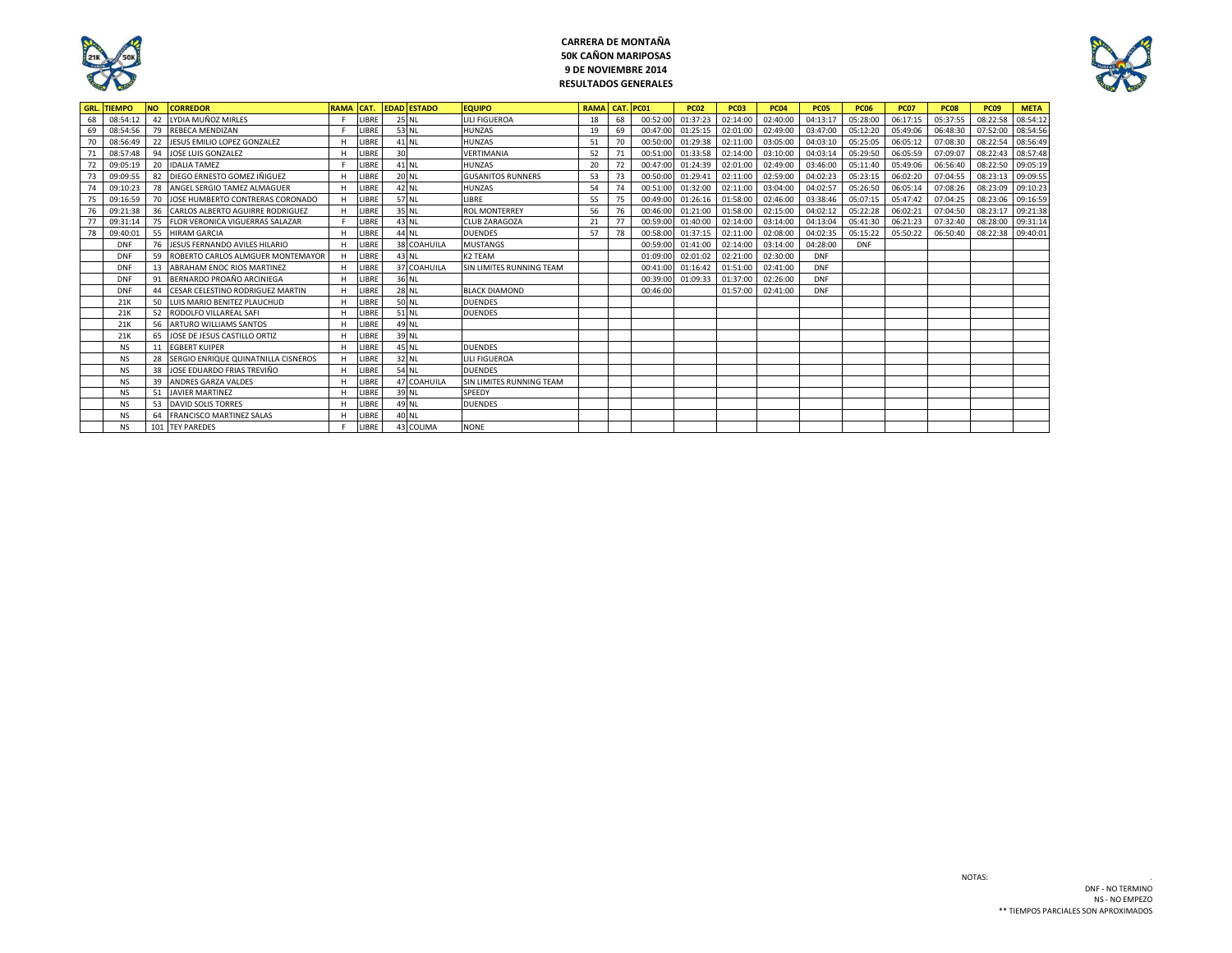

## **CARRERA DE MONTAÑA 50K CAÑON MARIPOSAS 9 DE NOVIEMBRE 2014 RESULTADOS GENERALES**



| GRL. | <b>TIEMPO</b> | <b>NO</b> | <b>CORREDOR</b>                     | <b>RAMA</b> | ICAT. |    | <b>EDAD ESTADO</b> | <b>EQUIPO</b>            | <b>RAMA CAT. PC01</b> |    |          | <b>PC02</b> | <b>PC03</b> | <b>PC04</b> | <b>PC05</b> | <b>PC06</b> | <b>PC07</b> | <b>PC08</b> | <b>PC09</b> | <b>META</b> |
|------|---------------|-----------|-------------------------------------|-------------|-------|----|--------------------|--------------------------|-----------------------|----|----------|-------------|-------------|-------------|-------------|-------------|-------------|-------------|-------------|-------------|
| 68   | 08:54:12      | 42        | LYDIA MUÑOZ MIRLES                  |             | LIBRE |    | 25 NL              | <b>LILI FIGUEROA</b>     | 18                    | 68 | 00:52:00 | 01:37:23    | 02:14:00    | 02:40:00    | 04:13:17    | 05:28:00    | 06:17:15    | 05:37:55    | 08:22:58    | 08:54:12    |
| 69   | 08:54:56      | 79        | <b>REBECA MENDIZAN</b>              |             | LIBRE |    | 53 NL              | <b>HUNZAS</b>            | 19                    | 69 | 00:47:00 | 01:25:15    | 02:01:00    | 02:49:00    | 03:47:00    | 05:12:20    | 05:49:06    | 06:48:30    | 07:52:00    | 08:54:56    |
| 70   | 08:56:49      | 22        | JESUS EMILIO LOPEZ GONZALEZ         |             | LIBRE |    | 41 NL              | <b>HUNZAS</b>            | 51                    | 70 | 00:50:00 | 01:29:38    | 02:11:00    | 03:05:00    | 04:03:10    | 05:25:05    | 06:05:12    | 07:08:30    | 08:22:54    | 08:56:49    |
| 71   | 08:57:48      | 94        | JOSE LUIS GONZALEZ                  |             | LIBRE | 30 |                    | <b>VERTIMANIA</b>        | 52                    | 71 | 00:51:00 | 01:33:58    | 02:14:00    | 03:10:00    | 04:03:14    | 05:29:50    | 06:05:59    | 07:09:07    | 08:22:43    | 08:57:48    |
| 72   | 09:05:19      |           | 20 IDALIA TAMEZ                     |             | LIBRE |    | 41 NL              | <b>HUNZAS</b>            | 20                    | 72 | 00:47:00 | 01:24:39    | 02:01:00    | 02:49:00    | 03:46:00    | 05:11:40    | 05:49:06    | 06:56:40    | 08:22:50    | 09:05:19    |
| 73   | 09:09:55      | 82        | DIEGO ERNESTO GOMEZ IÑIGUEZ         |             | LIBRE |    | <b>20 NL</b>       | <b>GUSANITOS RUNNERS</b> | 53                    | 73 | 00:50:00 | 01:29:41    | 02:11:00    | 02:59:00    | 04:02:23    | 05:23:15    | 06:02:20    | 07:04:55    | 08:23:13    | 09:09:55    |
| 74   | 09:10:23      | 78        | ANGEL SERGIO TAMEZ ALMAGUER         |             | LIBRE |    | 42 NL              | <b>HUNZAS</b>            | 54                    | 74 | 00:51:00 | 01:32:00    | 02:11:00    | 03:04:00    | 04:02:57    | 05:26:50    | 06:05:14    | 07:08:26    | 08:23:09    | 09:10:23    |
| 75   | 09:16:59      | 70        | JOSE HUMBERTO CONTRERAS CORONADO    | H           | LIBRE |    | 57 NL              | LIBRE                    | 55                    | 75 | 00:49:00 | 01:26:16    | 01:58:00    | 02:46:00    | 03:38:46    | 05:07:15    | 05:47:42    | 07:04:25    | 08:23:06    | 09:16:59    |
|      | 09:21:38      | 36        | CARLOS ALBERTO AGUIRRE RODRIGUEZ    | H           | LIBRE |    | 35 NL              | <b>ROL MONTERREY</b>     | 56                    | 76 | 00:46:00 | 01:21:00    | 01:58:00    | 02:15:00    | 04:02:12    | 05:22:28    | 06:02:21    | 07:04:50    | 08:23:17    | 09:21:38    |
|      | 09:31:14      | 75        | FLOR VERONICA VIGUERRAS SALAZAR     |             | LIBRE |    | 43 NL              | <b>CLUB ZARAGOZA</b>     | 21                    | 77 | 00:59:00 | 01:40:00    | 02:14:00    | 03:14:00    | 04:13:04    | 05:41:30    | 06:21:23    | 07:32:40    | 08:28:00    | 09:31:14    |
| 78   | 09:40:01      | 55        | <b>HIRAM GARCIA</b>                 |             | LIBRE |    | 44 NL              | <b>DUENDES</b>           | 57                    | 78 | 00:58:00 | 01:37:15    | 02:11:00    | 02:08:00    | 04:02:35    | 05:15:22    | 05:50:22    | 06:50:40    | 08:22:38    | 09:40:01    |
|      | <b>DNF</b>    | 76        | JESUS FERNANDO AVILES HILARIO       |             | LIBRE |    | 38 COAHUILA        | <b>MUSTANGS</b>          |                       |    | 00:59:00 | 01:41:00    | 02:14:00    | 03:14:00    | 04:28:00    | <b>DNF</b>  |             |             |             |             |
|      | DNF           | 59        | ROBERTO CARLOS ALMGUER MONTEMAYOR   | H           | LIBRE |    | 43 NL              | K2 TEAM                  |                       |    | 01:09:00 | 02:01:02    | 02:21:00    | 02:30:00    | <b>DNF</b>  |             |             |             |             |             |
|      | <b>DNF</b>    | 13        | <b>ABRAHAM ENOC RIOS MARTINEZ</b>   |             | LIBRE |    | 37 COAHUILA        | SIN LIMITES RUNNING TEAM |                       |    | 00:41:00 | 01:16:42    | 01:51:00    | 02:41:00    | <b>DNF</b>  |             |             |             |             |             |
|      | <b>DNF</b>    | 91        | BERNARDO PROAÑO ARCINIEGA           |             | LIBRE |    | 36 NL              |                          |                       |    | 00:39:0  | 01:09:33    | 01:37:00    | 02:26:00    | <b>DNF</b>  |             |             |             |             |             |
|      | DNF           | 44        | CESAR CELESTINO RODRIGUEZ MARTIN    |             | LIBRE |    | 28 NL              | <b>BLACK DIAMOND</b>     |                       |    | 00:46:00 |             | 01:57:00    | 02:41:00    | <b>DNF</b>  |             |             |             |             |             |
|      | 21k           | 50        | LUIS MARIO BENITEZ PLAUCHUD         |             | LIBRE |    | 50 NL              | <b>DUENDES</b>           |                       |    |          |             |             |             |             |             |             |             |             |             |
|      | 21K           | 52        | RODOLFO VILLAREAL SAFI              |             | LIBRE |    | 51 NL              | <b>DUENDES</b>           |                       |    |          |             |             |             |             |             |             |             |             |             |
|      | 21K           | 56        | <b>ARTURO WILLIAMS SANTOS</b>       |             | LIBRE |    | 49 NL              |                          |                       |    |          |             |             |             |             |             |             |             |             |             |
|      | 21k           | 65        | JOSE DE JESUS CASTILLO ORTIZ        |             | LIBRE |    | 39 NL              |                          |                       |    |          |             |             |             |             |             |             |             |             |             |
|      | <b>NS</b>     | 11        | <b>EGBERT KUIPER</b>                |             | LIBRE |    | 45 NL              | <b>DUENDES</b>           |                       |    |          |             |             |             |             |             |             |             |             |             |
|      |               |           | SERGIO ENRIQUE QUINATNILLA CISNEROS |             | LIBRE |    | 32 NI              | <b>LILI FIGUEROA</b>     |                       |    |          |             |             |             |             |             |             |             |             |             |
|      |               | 38        | JOSE EDUARDO FRIAS TREVIÑO          |             | LIBRE |    | 54 NL              | <b>DUFNDES</b>           |                       |    |          |             |             |             |             |             |             |             |             |             |
|      | NS            | 39        | <b>ANDRES GARZA VALDES</b>          |             | LIBRE |    | 47 COAHUILA        | SIN LIMITES RUNNING TEAM |                       |    |          |             |             |             |             |             |             |             |             |             |
|      | <b>NS</b>     | 51        | <b>JAVIER MARTINEZ</b>              |             | LIBRE |    | 39 NL              | SPEEDY                   |                       |    |          |             |             |             |             |             |             |             |             |             |
|      | <b>NS</b>     | 53        | <b>DAVID SOLIS TORRES</b>           |             | LIBRE |    | 49 NL              | <b>DUENDES</b>           |                       |    |          |             |             |             |             |             |             |             |             |             |
|      | <b>NS</b>     | 64        | <b>FRANCISCO MARTINEZ SALAS</b>     |             | LIBRE |    | 40 NL              |                          |                       |    |          |             |             |             |             |             |             |             |             |             |
|      | <b>NS</b>     |           | 101 TEY PAREDES                     |             | LIBRE |    | 43 COLIMA          | <b>NONE</b>              |                       |    |          |             |             |             |             |             |             |             |             |             |

NOTAS: .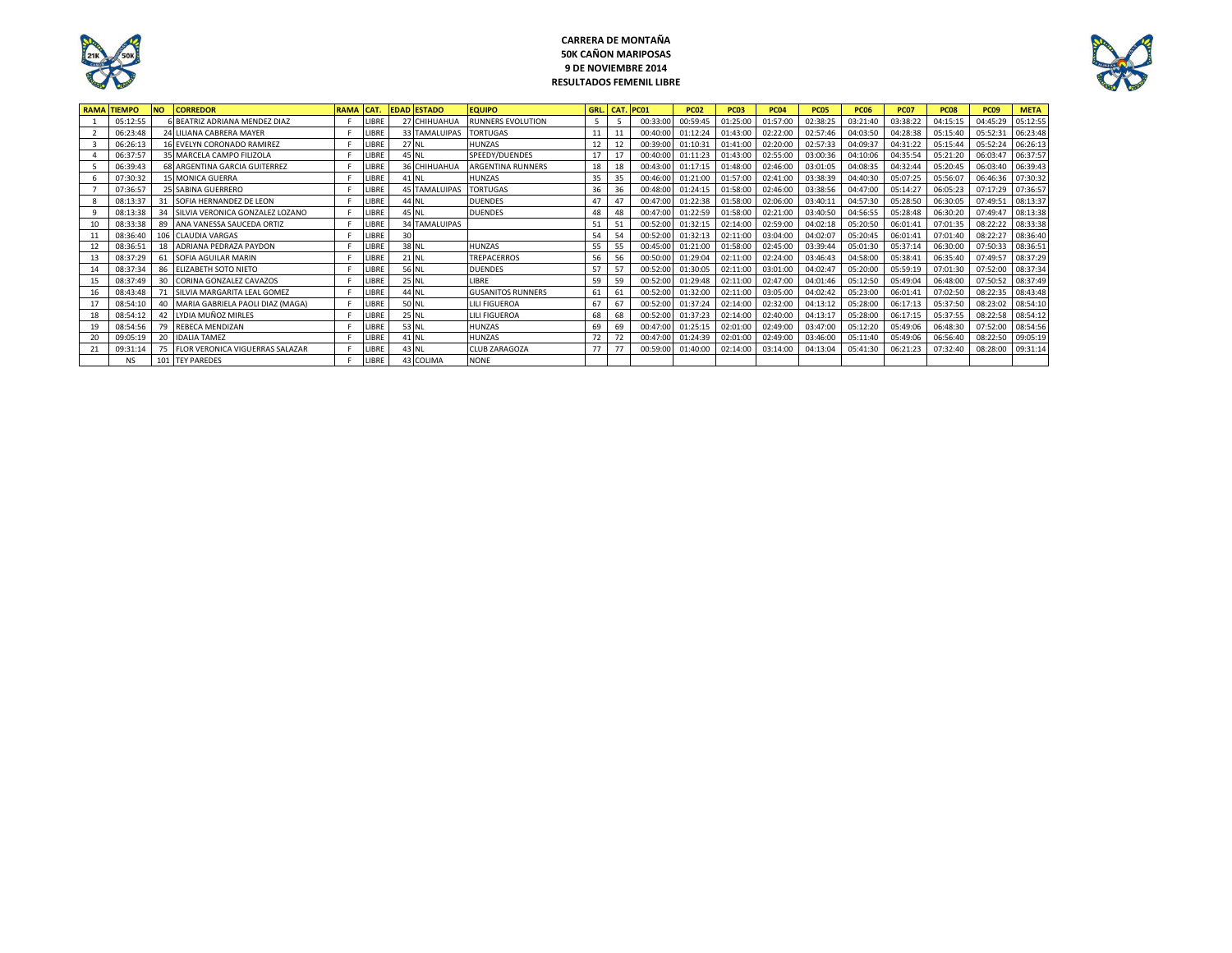

## **CARRERA DE MONTAÑA 50K CAÑON MARIPOSAS 9 DE NOVIEMBRE 2014 RESULTADOS FEMENIL LIBRE**



| <b>RAMAI</b> | <b>TIEMPO</b> | <b>NO</b> | <b>CORREDOR</b>                        | RAMA CAT. |              |    | <b>EDAD ESTADO</b>   | <b>EQUIPO</b>            | GRL. | CAT. PC01 |          | <b>PC02</b> | <b>PC03</b> | <b>PC04</b> | <b>PC05</b> | <b>PC06</b> | <b>PC07</b> | <b>PC08</b> | <b>PC09</b> | <b>META</b> |
|--------------|---------------|-----------|----------------------------------------|-----------|--------------|----|----------------------|--------------------------|------|-----------|----------|-------------|-------------|-------------|-------------|-------------|-------------|-------------|-------------|-------------|
|              | 05:12:55      |           | BEATRIZ ADRIANA MENDEZ DIAZ            |           | <b>LIBRE</b> |    | 27 CHIHUAHUA         | <b>RUNNERS EVOLUTION</b> | 5    |           | 00:33:00 | 00:59:45    | 01:25:00    | 01:57:00    | 02:38:25    | 03:21:40    | 03:38:22    | 04:15:15    | 04:45:29    | 05:12:55    |
|              | 06:23:48      |           | 24 LILIANA CABRERA MAYER               |           | LIBR         |    | <b>33 TAMALUIPAS</b> | <b>TORTUGAS</b>          |      |           | 00:40:0  | 01:12:24    | 01:43:00    | 02:22:00    | 02:57:46    | 04:03:50    | 04:28:38    | 05:15:40    | 05:52:3     | 06:23:48    |
|              | 06:26:13      |           | 16 EVELYN CORONADO RAMIREZ             |           | LIBR         |    | <b>27 NL</b>         | <b>HUNZAS</b>            |      |           | 00:39:0  | 01:10:31    | 01:41:00    | 02:20:00    | 02:57:33    | 04:09:37    | 04:31:22    | 05:15:44    | 05:52:24    | 06:26:13    |
|              | 06:37:57      |           | 35 MARCELA CAMPO FILIZOLA              |           | LIBR         |    | 45 NL                | SPEEDY/DUENDES           |      |           | 00:40:0  | 01:11:23    | 01:43:00    | 02:55:00    | 03:00:36    | 04:10:06    | 04:35:54    | 05:21:20    | 06:03:47    | 06:37:57    |
|              | 06:39:43      |           | 68 ARGENTINA GARCIA GUITERREZ          |           | LIBR         |    | 36 CHIHUAHUA         | <b>ARGENTINA RUNNERS</b> | 18   | 18        | 00:43:00 | 01:17:15    | 01:48:00    | 02:46:00    | 03:01:05    | 04:08:35    | 04:32:44    | 05:20:45    | 06:03:40    | 06:39:43    |
|              | 07:30:32      |           | 15 MONICA GUERRA                       |           | <b>LIBRE</b> |    | 41 NL                | <b>HUNZAS</b>            | 35   | 35        | 00:46:00 | 01:21:00    | 01:57:00    | 02:41:00    | 03:38:39    | 04:40:30    | 05:07:25    | 05:56:07    | 06:46:36    | 07:30:32    |
|              | 07:36:57      |           | 25 SABINA GUERRERO                     |           | LIBRI        |    | <b>45 TAMALUIPAS</b> | <b>TORTUGAS</b>          | 36   | 36        | 00:48:00 | 01:24:15    | 01:58:00    | 02:46:00    | 03:38:56    | 04:47:00    | 05:14:27    | 06:05:23    | 07:17:29    | 07:36:57    |
|              | 08:13:37      | 31        | SOFIA HERNANDEZ DE LEON                |           | LIBR         |    | 44 NL                | <b>DUENDES</b>           | Д.   | 47        | 00:47:0  | 01:22:38    | 01:58:00    | 02:06:00    | 03:40:11    | 04:57:30    | 05:28:50    | 06:30:05    | 07:49:51    | 08:13:37    |
|              | 08:13:38      | 34        | SILVIA VERONICA GONZALEZ LOZANO        |           | LIBR         |    | 45 NL                | <b>DUENDES</b>           | 48   | 48        | 00:47:0  | 01:22:59    | 01:58:00    | 02:21:00    | 03:40:50    | 04:56:55    | 05:28:48    | 06:30:20    | 07:49:47    | 08:13:38    |
| 10           | 08:33:38      | 89        | ANA VANESSA SAUCEDA ORTIZ              |           | LIBR         |    | <b>34 TAMALUIPAS</b> |                          | 51   | 51        | 00:52:00 | 01:32:15    | 02:14:00    | 02:59:00    | 04:02:18    | 05:20:50    | 06:01:41    | 07:01:35    | 08:22:22    | 08:33:38    |
| 11           | 08:36:40      |           | 106 CLAUDIA VARGAS                     |           | LIBRI        | 30 |                      |                          | 54   | 54        | 00:52:00 | 01:32:13    | 02:11:00    | 03:04:00    | 04:02:07    | 05:20:45    | 06:01:41    | 07:01:40    | 08:22:27    | 08:36:40    |
| 12           | 08:36:51      | 18        | ADRIANA PEDRAZA PAYDON                 |           | LIBRI        |    | 38 NL                | <b>HUNZAS</b>            | 55   | 55        | 00:45:00 | 01:21:00    | 01:58:00    | 02:45:00    | 03:39:44    | 05:01:30    | 05:37:14    | 06:30:00    | 07:50:33    | 08:36:51    |
| 13           | 08:37:29      | 61        | SOFIA AGUILAR MARIN                    |           | LIBR         |    | 21 NL                | <b>TREPACERROS</b>       | 56   | 56        | 00:50:00 | 01:29:04    | 02:11:00    | 02:24:00    | 03:46:43    | 04:58:00    | 05:38:41    | 06:35:40    | 07:49:57    | 08:37:29    |
| 14           | 08:37:34      | 86        | <b>ELIZABETH SOTO NIETO</b>            |           | <b>JBR</b>   |    | 56 NL                | <b>DUENDES</b>           | 57   | 57        | 00:52:0  | 01:30:05    | 02:11:00    | 03:01:00    | 04:02:47    | 05:20:00    | 05:59:19    | 07:01:30    | 07:52:00    | 08:37:34    |
| 15           | 08:37:49      | 30        | CORINA GONZALEZ CAVAZOS                |           | <b>JBR</b>   |    | 25 NL                | LIBRE                    | 59   | 59        | 00:52:00 | 01:29:48    | 02:11:00    | 02:47:00    | 04:01:46    | 05:12:50    | 05:49:04    | 06:48:00    | 07:50:52    | 08:37:49    |
| 16           | 08:43:48      | 71        | SILVIA MARGARITA LEAL GOMEZ            |           | LIBR         |    | 44 NL                | <b>GUSANITOS RUNNERS</b> | 61   | 61        | 00:52:0  | 01:32:00    | 02:11:00    | 03:05:00    | 04:02:42    | 05:23:00    | 06:01:41    | 07:02:50    | 08:22:35    | 08:43:48    |
| 17           | 08:54:10      | 40        | MARIA GABRIELA PAOLI DIAZ (MAGA)       |           | LIBRE        |    | 50 NL                | <b>LILI FIGUEROA</b>     | 67   | 67        | 00:52:0  | 01:37:24    | 02:14:00    | 02:32:00    | 04:13:12    | 05:28:00    | 06:17:13    | 05:37:50    | 08:23:02    | 08:54:10    |
| 18           | 08:54:12      | 42        | LYDIA MUÑOZ MIRLES                     |           | LIBRI        |    | <b>25 NL</b>         | <b>LILI FIGUEROA</b>     | 68   | 68        | 00:52:0  | 01:37:23    | 02:14:00    | 02:40:00    | 04:13:17    | 05:28:00    | 06:17:15    | 05:37:55    | 08:22:58    | 08:54:12    |
|              | 08:54:56      | 79        | <b>REBECA MENDIZAN</b>                 |           | <b>IBR</b>   |    | 53 NL                | <b>HUNZAS</b>            | 69   | 69        | 00:47:0  | 01:25:15    | 02:01:00    | 02:49:00    | 03:47:00    | 05:12:20    | 05:49:06    | 06:48:30    | 07:52:00    | 08:54:56    |
| 20           | 09:05:19      | 20        | <b>IDALIA TAMEZ</b>                    |           | LIBR         |    | 41 NL                | <b>HUNZAS</b>            | 72   | 72        | 00:47:00 | 01:24:39    | 02:01:00    | 02:49:00    | 03:46:00    | 05:11:40    | 05:49:06    | 06:56:40    | 08:22:50    | 09:05:19    |
| 21           | 09:31:14      | 75        | <b>FLOR VERONICA VIGUERRAS SALAZAR</b> |           | LIBR         |    | 43 NL                | <b>CLUB ZARAGOZA</b>     | 77   | 77        | 00:59:00 | 01:40:00    | 02:14:00    | 03:14:00    | 04:13:04    | 05:41:30    | 06:21:23    | 07:32:40    | 08:28:00    | 09:31:14    |
|              | <b>NS</b>     |           | 101 TEY PAREDES                        |           | LIBRI        |    | 43 COLIMA            | <b>NONE</b>              |      |           |          |             |             |             |             |             |             |             |             |             |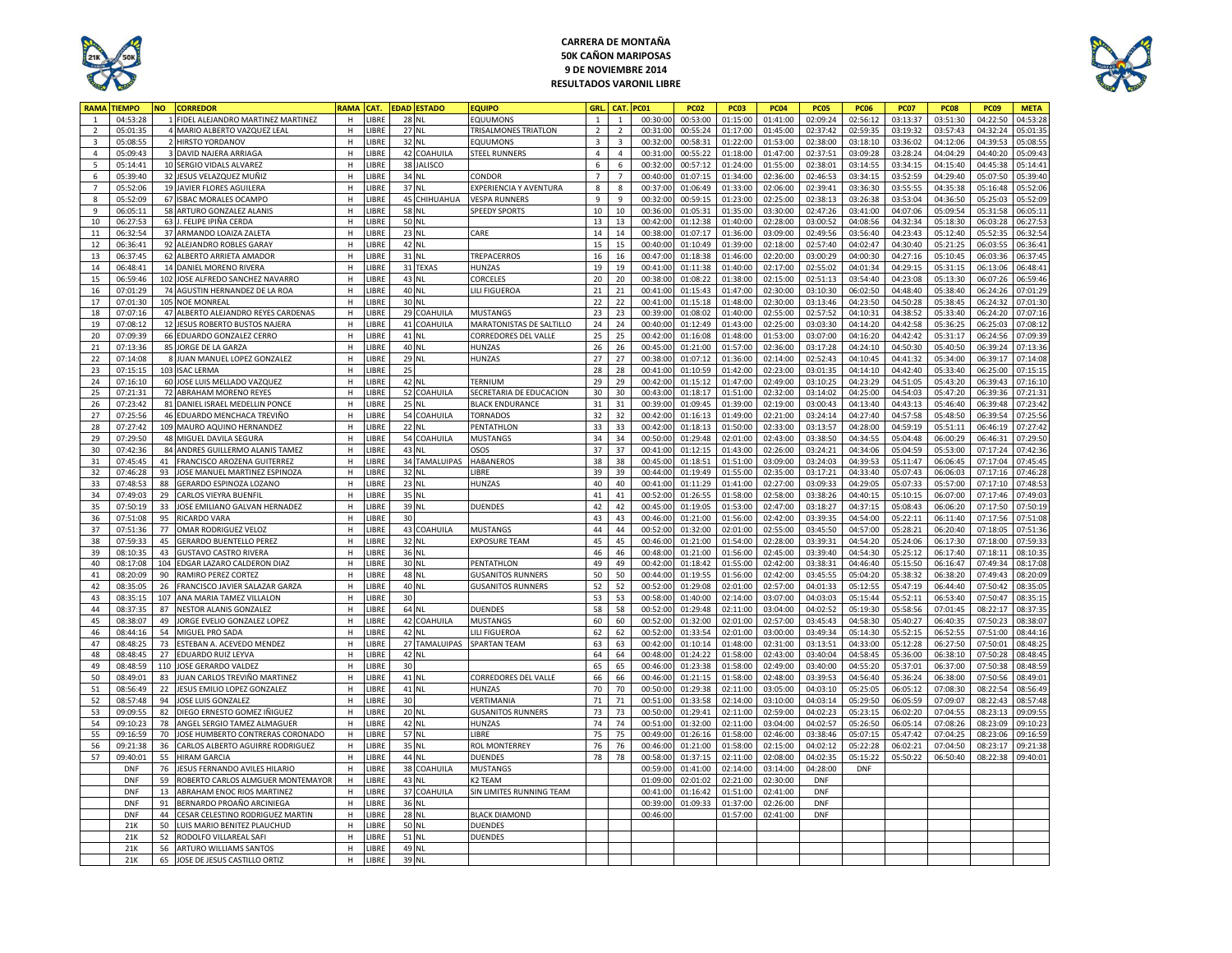

## **CARRERA DE MONTAÑA 50K CAÑON MARIPOSAS 9 DE NOVIEMBRE 2014 RESULTADOS VARONIL LIBRE**



| <b>RAMA</b>             | <b>TIEMPO</b>        | <b>NO</b> | <b>CORREDOR</b>                                          | RAMA        | CAT.           |    | <b>DAD ESTADO</b> | <b>EQUIPO</b>                          | <b>GRI</b>     | CAT            | PC01                | <b>PC02</b>          | <b>PC03</b>          | <b>PC04</b>          | <b>PC05</b>          | <b>PC06</b>          | <b>PC07</b>          | <b>PC08</b>          | <b>PC09</b>          | <b>META</b>          |
|-------------------------|----------------------|-----------|----------------------------------------------------------|-------------|----------------|----|-------------------|----------------------------------------|----------------|----------------|---------------------|----------------------|----------------------|----------------------|----------------------|----------------------|----------------------|----------------------|----------------------|----------------------|
|                         | 04:53:28             |           | FIDEL ALEJANDRO MARTINEZ MARTINEZ                        | н           | LIBRE          |    | <b>28 NL</b>      | EQUUMONS                               |                | $\mathbf{1}$   | 00:30:00            | 00:53:00             | 01:15:00             | 01:41:00             | 02:09:24             | 02:56:12             | 03:13:37             | 03:51:30             | 04:22:50             | 04:53:28             |
| $\overline{2}$          | 05:01:35             |           | MARIO ALBERTO VAZQUEZ LEAL                               | H           | LIBRE          |    | 27 NL             | TRISALMONES TRIATLON                   | $\overline{2}$ | $\overline{2}$ | 00:31:00            | 00:55:24             | 01:17:00             | 01:45:00             | 02:37:42             | 02:59:35             | 03:19:32             | 03:57:43             | 04:32:24             | 05:01:35             |
| $\overline{\mathbf{3}}$ | 05:08:55             |           | 2 HIRSTO YORDANOV                                        | H           | LIBRE          |    | 32 NL             | EQUUMONS                               | $\overline{3}$ | $\overline{3}$ | 00:32:00            | 00:58:31             | 01:22:00             | 01:53:00             | 02:38:00             | 03:18:10             | 03:36:02             | 04:12:06             | 04:39:53             | 05:08:55             |
| $\overline{4}$          | 05:09:43             |           | 3 DAVID NAJERA ARRIAGA                                   | H           | LIBRE          |    | 42 COAHUILA       | <b>STEEL RUNNERS</b>                   | $\overline{4}$ | $\overline{4}$ | 00:31:00            | 00:55:22             | 01:18:00             | 01:47:00             | 02:37:51             | 03:09:28             | 03:28:24             | 04:04:29             | 04:40:20             | 05:09:43             |
| 5                       | 05:14:41             |           | 10 SERGIO VIDALS ALVAREZ                                 | н           | LIBRE          |    | 38 JALISCO        |                                        | 6              | 6              | 00:32:00            | 00:57:12             | 01:24:00             | 01:55:00             | 02:38:01             | 03:14:55             | 03:34:15             | 04:15:40             | 04:45:38             | 05:14:41             |
| 6                       | 05:39:40             |           | 32 JESUS VELAZQUEZ MUÑIZ                                 | н           | LIBRE          |    | 34 NL             | CONDOR                                 | $\overline{7}$ | $\overline{7}$ | 00:40:0             | 01:07:15             | 01:34:00             | 02:36:00             | 02:46:53             | 03:34:15             | 03:52:59             | 04:29:40             | 05:07:50             | 05:39:40             |
| $\overline{7}$          | 05:52:06             |           | 19 JAVIER FLORES AGUILERA                                | H           | <b>IBRF</b>    |    | 37 NL             | <b>EXPERIENCIA Y AVENTURA</b>          | 8              | 8              | 00:37:0             | 01:06:49             | 01:33:00             | 02:06:00             | 02:39:41             | 03:36:30             | 03:55:55             | 04:35:38             | 05:16:48             | 05:52:06             |
| 8                       | 05:52:09             |           | 67 ISBAC MORALES OCAMPO                                  | H           | LIBRE          |    | 45 CHIHUAHUA      | <b>VESPA RUNNERS</b>                   | 9              | $\mathsf g$    |                     | 00:59:15             |                      | 02:25:00             |                      |                      |                      |                      | 05:25:03             | 05:52:09             |
| $\overline{9}$          | 06:05:11             |           | 58 ARTURO GONZALEZ ALANIS                                | H           | LIBRE          |    | 58 NL             | <b>SPEEDY SPORTS</b>                   | 10             | 10             | 00:32:0<br>00:36:0  | 01:05:31             | 01:23:00<br>01:35:00 | 03:30:00             | 02:38:13<br>02:47:26 | 03:26:38<br>03:41:00 | 03:53:04<br>04:07:06 | 04:36:50<br>05:09:54 | 05:31:58             | 06:05:1              |
| 10                      | 06:27:53             |           | 63 J. FELIPE IPIÑA CERDA                                 | н           | LIBRE          |    | 50 NL             |                                        | 13             | 13             | 00:42:0             | 01:12:38             | 01:40:00             | 02:28:00             | 03:00:52             | 04:08:56             | 04:32:34             | 05:18:30             | 06:03:28             | 06:27:53             |
| $11\,$                  |                      |           | 37 ARMANDO LOAIZA ZALETA                                 |             |                |    | 23 NL             |                                        | 14             | 14             | 00:38:0             | 01:07:17             |                      | 03:09:00             | 02:49:56             | 03:56:40             | 04:23:43             |                      | 05:52:35             | 06:32:54             |
|                         | 06:32:54             |           |                                                          | н           | LIBRE          |    |                   | CARE                                   |                | 15             |                     |                      | 01:36:00             |                      |                      |                      | 04:30:40             | 05:12:40             |                      |                      |
| 12                      | 06:36:41<br>06:37:45 |           | 92 ALEJANDRO ROBLES GARAY                                | н<br>H      | LIBRE<br>LIBRE |    | 42 NL<br>31 NL    | TREPACERROS                            | 15             |                | 00:40:00            | 01:10:49             | 01:39:00             | 02:18:00             | 02:57:40             | 04:02:47             |                      | 05:21:25             | 06:03:55             | 06:36:41             |
| 13                      |                      |           | 62 ALBERTO ARRIETA AMADOR                                |             |                |    |                   |                                        | 16             | 16             | 00:47:00            | 01:18:38             | 01:46:00             | 02:20:00             | 03:00:29             | 04:00:30             | 04:27:16             | 05:10:45             | 06:03:36             | 06:37:45             |
| 14                      | 06:48:41             |           | 14 DANIEL MORENO RIVERA                                  | H           | <b>LIBRE</b>   |    | 31 TEXAS          | HUNZAS                                 | 19             | 19             | 00:41:0             | 01:11:38             | 01:40:00             | 02:17:00             | 02:55:02             | 04:01:34             | 04:29:15             | 05:31:15             | 06:13:06             | 06:48:41             |
| 15                      | 06:59:46             |           | 102 JOSE ALFREDO SANCHEZ NAVARRO                         | H           | LIBRE          |    | 43 NL             | CORCELES                               | 20             | 20             | 00:38:00            | 01:08:22             | 01:38:00             | 02:15:00             | 02:51:13             | 03:54:40             | 04:23:08             | 05:13:30             | 06:07:26             | 06:59:46             |
| 16                      | 07:01:29             |           | 74 AGUSTIN HERNANDEZ DE LA ROA                           | н           | LIBRE          |    | 40 NL             | LILI FIGUEROA                          | 21             | 21             | 00:41:00            | 01:15:43             | 01:47:00             | 02:30:00             | 03:10:30             | 06:02:50             | 04:48:40             | 05:38:40             | 06:24:26             | 07:01:29             |
| $17\,$                  | 07:01:30             |           | 105 NOE MONREAL                                          | н           | LIBRE          |    | 30 NL             |                                        | 22             | 22             | 00:41:00            | 01:15:18             | 01:48:00             | 02:30:00             | 03:13:46             | 04:23:50             | 04:50:28             | 05:38:45             | 06:24:32             | 07:01:30             |
| 18                      | 07:07:16             |           | 47 ALBERTO ALEJANDRO REYES CARDENAS                      | H           | LIBRE          |    | 29 COAHUILA       | <b>MUSTANGS</b>                        | 23             | 23             | 00:39:0             | 01:08:02             | 01:40:00             | 02:55:00             | 02:57:52             | 04:10:31             | 04:38:52             | 05:33:40             | 06:24:20             | 07:07:1              |
| 19                      | 07:08:12             |           | 12 JESUS ROBERTO BUSTOS NAJERA                           | н           | LIBRE          |    | 41 COAHUILA       | MARATONISTAS DE SALTILLO               | 24             | 24             | 00:40:00            | 01:12:49             | 01:43:00             | 02:25:00             | 03:03:30             | 04:14:20             | 04:42:58             | 05:36:25             | 06:25:03             | 07:08:12             |
| 20                      | 07:09:39             |           | 66 EDUARDO GONZALEZ CERRO                                | н           | LIBRE          |    | 41 NL             | CORREDORES DEL VALLE                   | 25             | 25             | 00:42:00            | 01:16:08             | 01:48:00             | 01:53:00             | 03:07:00             | 04:16:20             | 04:42:42             | 05:31:17             | 06:24:56             | 07:09:39             |
| 21                      | 07:13:36             |           | 85 JORGE DE LA GARZA                                     | н           | <b>IBRF</b>    |    | 40 NL             | HUNZAS                                 | 26             | 26             | 00:45:0             | 01:21:00             | 01:57:00             | 02:36:00             | 03:17:28             | 04:24:10             | 04:50:30             | 05:40:50             | 06:39:24             | 07:13:36             |
| 22                      | 07:14:08             |           | 8 JUAN MANUEL LOPEZ GONZALEZ                             | н           | LIBRE          |    | 29 NL             | HUNZAS                                 | 27             | 27             | 00:38:0             | 01:07:12             | 01:36:00             | 02:14:00             | 02:52:43             | 04:10:45             | 04:41:32             | 05:34:00             | 06:39:17             | 07:14:08             |
| 23                      | 07:15:15             |           | 103 ISAC LERMA                                           | H           | LIBRE          | 25 |                   |                                        | 28             | 28             | 00:41:0             | 01:10:59             | 01:42:00             | 02:23:00             | 03:01:35             | 04:14:10             | 04:42:40             | 05:33:40             | 06:25:00             | 07:15:1              |
| 24                      | 07:16:10             |           | 60 JOSE LUIS MELLADO VAZQUEZ                             | н           | LIBRE          |    | 42 NL             | TERNIUM                                | 29             | 29             | 00:42:00            | 01:15:12             | 01:47:00             | 02:49:00             | 03:10:25             | 04:23:29             | 04:51:05             | 05:43:20             | 06:39:43             | 07:16:10             |
| 25                      | 07:21:31             |           | 72 ABRAHAM MORENO REYES                                  | H           | LIBRE          |    | 52 COAHUILA       | SECRETARIA DE EDUCACION                | 30             | 30             | 00:43:00            | 01:18:17             | 01:51:00             | 02:32:00             | 03:14:02             | 04:25:00             | 04:54:03             | 05:47:20             | 06:39:36             | 07:21:31             |
| 26                      | 07:23:42             |           | 81 DANIEL ISRAEL MEDELLIN PONCE                          | н           | LIBRE          |    | 25 NL             | <b>BLACK ENDURANCE</b>                 | 31             | 31             | 00:39:00            | 01:09:45             | 01:39:00             | 02:19:00             | 03:00:43             | 04:13:40             | 04:43:13             | 05:46:40             | 06:39:48             | 07:23:42             |
| 27                      | 07:25:56             |           | 46 EDUARDO MENCHACA TREVIÑO                              | н           | LIBRE          |    | 54 COAHUILA       | <b>TORNADOS</b>                        | 32             | 32             | 00:42:0             | 01:16:13             | 01:49:00             | 02:21:00             | 03:24:14             | 04:27:40             | 04:57:58             | 05:48:50             | 06:39:54             | 07:25:56             |
| 28                      | 07:27:42             |           | 109 MAURO AQUINO HERNANDEZ                               | H           | <b>LIBRE</b>   |    | <b>22 NL</b>      | PENTATHLON                             | 33             | 33             | 00:42:00            | 01:18:13             | 01:50:00             | 02:33:00             | 03:13:57             | 04:28:00             | 04:59:19             | 05:51:11             | 06:46:19             | 07:27:42             |
| 29                      | 07:29:50             |           | 48 MIGUEL DAVILA SEGURA                                  | H           | LIBRE          |    | 54 COAHUILA       | <b>MUSTANGS</b>                        | 34             | 34             | 00:50:00            | 01:29:48             | 02:01:00             | 02:43:00             | 03:38:50             | 04:34:55             | 05:04:48             | 06:00:29             | 06:46:31             | 07:29:50             |
| 30                      | 07:42:36             |           | 84 ANDRES GUILLERMO ALANIS TAMEZ                         | H           | LIBRE          |    | 43 NL             | OSOS                                   | 37             | 37             | 00:41:00            | 01:12:15             | 01:43:00             | 02:26:00             | 03:24:21             | 04:34:06             | 05:04:59             | 05:53:00             | 07:17:24             | 07:42:36             |
| 31                      | 07:45:45             | 41        | FRANCISCO AROZENA GUITERREZ                              | н           | LIBRE          |    | 34 TAMALUIPAS     | <b>HABANEROS</b>                       | 38             | 38             | 00:45:00            | 01:18:51             | 01:51:00             | 03:09:00             | 03:24:03             | 04:39:53             | 05:11:47             | 06:06:45             | 07:17:04             | 07:45:45             |
| 32                      | 07:46:28             | 93        | JOSE MANUEL MARTINEZ ESPINOZA                            | H           | LIBRE          |    | 32 NL             | LIBRE                                  | 39             | 39             | 00:44:0             | 01:19:49             | 01:55:00             | 02:35:00             | 03:17:21             | 04:33:40             | 05:07:43             | 06:06:03             | 07:17:16             | 07:46:28             |
| 33                      | 07:48:53             | 88        | GERARDO ESPINOZA LOZANO                                  | н           | <b>LIBRE</b>   |    | 23 NL             | HUNZAS                                 | 40             | 40             | 00:41:00            | 01:11:29             | 01:41:00             | 02:27:00             | 03:09:33             | 04:29:05             | 05:07:33             | 05:57:00             | 07:17:10             | 07:48:5              |
| 34                      | 07:49:03             | 29        | <b>CARLOS VIEYRA BUENFIL</b>                             | H           | LIBRE          |    | 35 NL             |                                        | 41             | 41             | 00:52:0             | 01:26:55             | 01:58:00             | 02:58:00             | 03:38:26             | 04:40:15             | 05:10:15             | 06:07:00             | 07:17:46             | 07:49:03             |
| 35                      | 07:50:19             | 33        | JOSE EMILIANO GALVAN HERNADEZ                            | н           | LIBRE          |    | 39 NL             | DUENDES                                | 42             | 42             | 00:45:00            | 01:19:05             | 01:53:00             | 02:47:00             | 03:18:27             | 04:37:15             | 05:08:43             | 06:06:20             | 07:17:50             | 07:50:19             |
| 36                      | 07:51:08             | 95        | <b>RICARDO VARA</b>                                      | н           | LIBRE          | 30 |                   |                                        | 43             | 43             | 00:46:00            | 01:21:00             | 01:56:00             | 02:42:00             | 03:39:35             | 04:54:00             | 05:22:11             | 06:11:40             | 07:17:56             | 07:51:08             |
| 37                      | 07:51:36             | 77        | OMAR RODRIGUEZ VELOZ                                     | H           | LIBRE          |    | 43 COAHUILA       | MUSTANGS                               | 44             | 44             | 00:52:0             | 01:32:00             | 02:01:00             | 02:55:00             | 03:45:50             | 04:57:00             | 05:28:21             | 06:20:40             | 07:18:05             | 07:51:36             |
| 38                      | 07:59:33             | 45        | <b>GERARDO BUENTELLO PEREZ</b>                           | $\mathsf H$ | LIBRE          |    | 32 NL             | <b>EXPOSURE TEAM</b>                   | 45             | 45             | 00:46:00            | 01:21:00             | 01:54:00             | 02:28:00             | 03:39:31             | 04:54:20             | 05:24:06             | 06:17:30             | 07:18:00             | 07:59:33             |
| 39                      | 08:10:35             | 43        | <b>GUSTAVO CASTRO RIVERA</b>                             | H           | LIBRE          |    | 36 NL             |                                        | 46             | 46             | 00:48:00            | 01:21:00             | 01:56:00             | 02:45:00             | 03:39:40             | 04:54:30             | 05:25:12             | 06:17:40             | 07:18:11             | 08:10:35             |
| 40                      | 08:17:08             | 104       | EDGAR LAZARO CALDERON DIAZ                               | н           | LIBRE          |    | 30 NL             | PENTATHLON                             | 49             | 49             | 00:42:00            | 01:18:42             | 01:55:00             | 02:42:00             | 03:38:31             | 04:46:40             | 05:15:50             | 06:16:47             | 07:49:34             | 08:17:08             |
| 41                      | 08:20:09             | 90        | RAMIRO PEREZ CORTEZ                                      | н           | <b>LIBRE</b>   |    | 48 NL             | <b>GUSANITOS RUNNERS</b>               | 50             | 50             | 00:44:0             | 01:19:55             | 01:56:00             | 02:42:00             | 03:45:55             | 05:04:20             | 05:38:32             | 06:38:20             | 07:49:43             | 08:20:09             |
| 42                      | 08:35:05             | 26        | FRANCISCO JAVIER SALAZAR GARZA                           | H           | <b>LIBRE</b>   |    | 40 NL             | <b>GUSANITOS RUNNERS</b>               | 52             | 52             | 00:52:0             | 01:29:08             | 02:01:00             | 02:57:00             | 04:01:33             | 05:12:55             | 05:47:19             | 06:44:40             | 07:50:42             | 08:35:05             |
| 43                      | 08:35:15             | 107       | ANA MARIA TAMEZ VILLALON                                 | н           | LIBRE          | 30 |                   |                                        | 53             | 53             | 00:58:0             | 01:40:00             | 02:14:00             | 03:07:00             | 04:03:03             | 05:15:44             | 05:52:11             | 06:53:40             | 07:50:47             | 08:35:15             |
| 44                      | 08:37:35             | 87        | NESTOR ALANIS GONZALEZ                                   | н           | LIBRE          |    | 64 NL             | <b>DUENDES</b>                         | 58             | 58             | 00:52:00            | 01:29:48             | 02:11:00             | 03:04:00             | 04:02:52             | 05:19:30             | 05:58:56             | 07:01:45             | 08:22:17             | 08:37:35             |
| 45                      | 08:38:07             | 49        | JORGE EVELIO GONZALEZ LOPEZ                              | н           | LIBRE          |    | 42 COAHUILA       | <b>MUSTANG</b>                         | 60             | 60             | 00:52:0             | 01:32:00             | 02:01:00             | 02:57:00             | 03:45:43             | 04:58:30             | 05:40:27             | 06:40:35             | 07:50:23             | 08:38:07             |
| 46                      | 08:44:16             | 54        | MIGUEL PRO SADA                                          | H           | LIBRE          |    | 42 NL             | LILI FIGUEROA                          | 62             | 62             | 00:52:0             | 01:33:54             | 02:01:00             | 03:00:00             | 03:49:34             | 05:14:30             | 05:52:15             | 06:52:55             | 07:51:00             | 08:44:1              |
| 47                      | 08:48:25             | 73        | ESTEBAN A. ACEVEDO MENDEZ                                | н           | LIBRE          |    | 27 TAMALUIPAS     | <b>SPARTAN TEAM</b>                    | 63             | 63             | 00:42:00            | 01:10:14             | 01:48:00             | 02:31:00             | 03:13:51             | 04:33:00             | 05:12:28             | 06:27:50             | 07:50:01             | 08:48:25             |
| 48                      | 08:48:45             | 27        | EDUARDO RUIZ LEYVA                                       | H           | LIBRE          |    | 42 NL             |                                        | 64             | 64             | 00:48:00            | 01:24:22             | 01:58:00             | 02:43:00             | 03:40:04             | 04:58:45             | 05:36:00             | 06:38:10             | 07:50:28             | 08:48:45             |
| 49                      | 08:48:59             | 110       | JOSE GERARDO VALDEZ                                      | н           | LIBRE          | 30 |                   |                                        | 65             | 65             | 00:46:00            | 01:23:38             | 01:58:00             | 02:49:00             | 03:40:00             | 04:55:20             | 05:37:01             | 06:37:00             | 07:50:38             | 08:48:59             |
| 50                      | 08:49:01             | 83        | JUAN CARLOS TREVIÑO MARTINEZ                             | н           | LIBRE          |    | 41 NL             | CORREDORES DEL VALLE                   | 66             | 66             | 00:46:0             | 01:21:15             | 01:58:00             | 02:48:00             | 03:39:53             | 04:56:40             | 05:36:24             | 06:38:00             | 07:50:56             | 08:49:0              |
| 51                      | 08:56:49             | 22        | JESUS EMILIO LOPEZ GONZALEZ                              | H           | LIBRE          |    | 41 NL             | HUNZAS                                 | 70             | 70             | 00:50:0             | 01:29:38             | 02:11:00             | 03:05:00             | 04:03:10             | 05:25:05             | 06:05:12             | 07:08:30             | 08:22:54             | 08:56:49             |
|                         |                      |           |                                                          |             |                |    |                   |                                        |                |                |                     |                      |                      |                      |                      |                      |                      |                      |                      |                      |
| 52<br>53                | 08:57:48<br>09:09:55 | 94<br>82  | <b>JOSE LUIS GONZALEZ</b><br>DIEGO ERNESTO GOMEZ IÑIGUEZ | H<br>H      | LIBRE<br>LIBRE | 30 | 20 NL             | VERTIMANIA<br><b>GUSANITOS RUNNERS</b> | 71<br>73       | 71<br>73       | 00:51:0<br>00:50:00 | 01:33:58<br>01:29:41 | 02:14:00<br>02:11:00 | 03:10:00<br>02:59:00 | 04:03:14<br>04:02:23 | 05:29:50<br>05:23:15 | 06:05:59<br>06:02:20 | 07:09:07<br>07:04:55 | 08:22:43<br>08:23:13 | 08:57:48<br>09:09:55 |
|                         |                      |           |                                                          |             |                |    |                   |                                        |                |                |                     |                      |                      |                      |                      |                      |                      |                      |                      |                      |
| 54                      | 09:10:23             | 78        | ANGEL SERGIO TAMEZ ALMAGUER                              | н           | LIBRE          |    | 42 NL             | HUNZAS                                 | 74             | 74             | 00:51:00            | 01:32:00             | 02:11:00             | 03:04:00             | 04:02:57             | 05:26:50             | 06:05:14             | 07:08:26             | 08:23:09             | 09:10:23             |
| 55                      | 09:16:59             | 70        | JOSE HUMBERTO CONTRERAS CORONADO                         | н           | LIBRE          |    | 57 NL             | LIBRE                                  | 75             | 75             | 00:49:0             | 01:26:16             | 01:58:00             | 02:46:00             | 03:38:46             | 05:07:15             | 05:47:42             | 07:04:25             | 08:23:06             | 09:16:59             |
| 56                      | 09:21:38             | 36        | CARLOS ALBERTO AGUIRRE RODRIGUEZ                         | н           | LIBRE          |    | 35 NL             | ROL MONTERREY                          | 76             | 76             | 00:46:0             | 01:21:00             | 01:58:00             | 02:15:00             | 04:02:12             | 05:22:28             | 06:02:21             | 07:04:50             | 08:23:17             | 09:21:38             |
| 57                      | 09:40:01             | 55        | <b>HIRAM GARCIA</b>                                      | H           | LIBRE          |    | 44 NL             | <b>DUENDES</b>                         | 78             | 78             | 00:58:0             | 01:37:15             | 02:11:00             | 02:08:00             | 04:02:35             | 05:15:22             | 05:50:22             | 06:50:40             | 08:22:38             | 09:40:01             |
|                         | <b>DNF</b>           | 76        | JESUS FERNANDO AVILES HILARIO                            | н           | LIBRE          |    | 38 COAHUILA       | MUSTANGS                               |                |                | 00:59:00            | 01:41:00             | 02:14:00             | 03:14:00             | 04:28:00             | <b>DNF</b>           |                      |                      |                      |                      |
|                         | <b>DNF</b>           | 59        | ROBERTO CARLOS ALMGUER MONTEMAYOR                        | H           | LIBRE          |    | 43 NL             | K2 TEAM                                |                |                | 01:09:0             | 02:01:02             | 02:21:00             | 02:30:00             | <b>DNF</b>           |                      |                      |                      |                      |                      |
|                         | <b>DNF</b>           | 13        | ABRAHAM ENOC RIOS MARTINEZ                               | Η           | <b>IBRE</b>    |    | 37 COAHUILA       | SIN LIMITES RUNNING TEAM               |                |                | 00:41:0             | 01:16:42             | 01:51:00             | 02:41:00             | <b>DNF</b>           |                      |                      |                      |                      |                      |
|                         | <b>DNF</b>           | 91        | BERNARDO PROAÑO ARCINIEGA                                | н           | LIBRE          |    | 36 NL             |                                        |                |                | 00:39:00            | 01:09:33             | 01:37:00             | 02:26:00             | <b>DNF</b>           |                      |                      |                      |                      |                      |
|                         | <b>DNF</b>           | 44        | CESAR CELESTINO RODRIGUEZ MARTIN                         | H           | LIBRE          |    | <b>28 NL</b>      | <b>BLACK DIAMOND</b>                   |                |                | 00:46:00            |                      | 01:57:00             | 02:41:00             | <b>DNF</b>           |                      |                      |                      |                      |                      |
|                         | 21K                  | 50        | LUIS MARIO BENITEZ PLAUCHUD                              | н           | LIBRE          |    | 50 NL             | <b>DUENDES</b>                         |                |                |                     |                      |                      |                      |                      |                      |                      |                      |                      |                      |
|                         | 21K                  | 52        | RODOLFO VILLAREAL SAF                                    | H           | LIBRE          |    | 51 NI             | DUENDES                                |                |                |                     |                      |                      |                      |                      |                      |                      |                      |                      |                      |
|                         | 21K                  | 56        | ARTURO WILLIAMS SANTOS                                   | H           | LIBRE          |    | 49 NL             |                                        |                |                |                     |                      |                      |                      |                      |                      |                      |                      |                      |                      |
|                         | 21K                  | 65        | JOSE DE JESUS CASTILLO ORTIZ                             | H           | LIBRE          |    | 39 NL             |                                        |                |                |                     |                      |                      |                      |                      |                      |                      |                      |                      |                      |